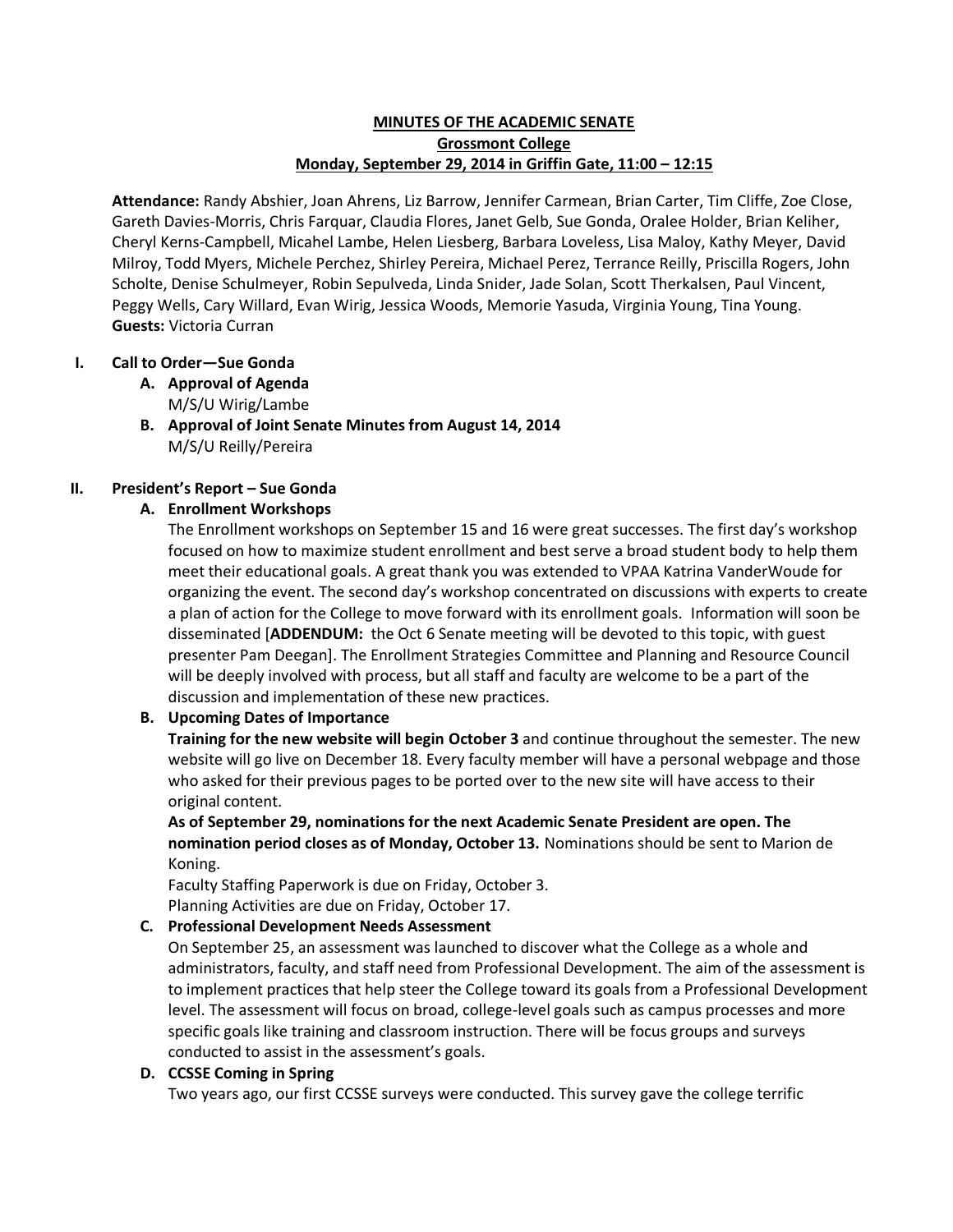## **MINUTES OF THE ACADEMIC SENATE Grossmont College Monday, September 29, 2014 in Griffin Gate, 11:00 – 12:15**

**Attendance:** Randy Abshier, Joan Ahrens, Liz Barrow, Jennifer Carmean, Brian Carter, Tim Cliffe, Zoe Close, Gareth Davies-Morris, Chris Farquar, Claudia Flores, Janet Gelb, Sue Gonda, Oralee Holder, Brian Keliher, Cheryl Kerns-Campbell, Micahel Lambe, Helen Liesberg, Barbara Loveless, Lisa Maloy, Kathy Meyer, David Milroy, Todd Myers, Michele Perchez, Shirley Pereira, Michael Perez, Terrance Reilly, Priscilla Rogers, John Scholte, Denise Schulmeyer, Robin Sepulveda, Linda Snider, Jade Solan, Scott Therkalsen, Paul Vincent, Peggy Wells, Cary Willard, Evan Wirig, Jessica Woods, Memorie Yasuda, Virginia Young, Tina Young. **Guests:** Victoria Curran

# **I. Call to Order—Sue Gonda**

- **A. Approval of Agenda** M/S/U Wirig/Lambe
- **B. Approval of Joint Senate Minutes from August 14, 2014** M/S/U Reilly/Pereira

# **II. President's Report – Sue Gonda**

# **A. Enrollment Workshops**

The Enrollment workshops on September 15 and 16 were great successes. The first day's workshop focused on how to maximize student enrollment and best serve a broad student body to help them meet their educational goals. A great thank you was extended to VPAA Katrina VanderWoude for organizing the event. The second day's workshop concentrated on discussions with experts to create a plan of action for the College to move forward with its enrollment goals. Information will soon be disseminated [**ADDENDUM:** the Oct 6 Senate meeting will be devoted to this topic, with guest presenter Pam Deegan]. The Enrollment Strategies Committee and Planning and Resource Council will be deeply involved with process, but all staff and faculty are welcome to be a part of the discussion and implementation of these new practices.

# **B. Upcoming Dates of Importance**

**Training for the new website will begin October 3** and continue throughout the semester. The new website will go live on December 18. Every faculty member will have a personal webpage and those who asked for their previous pages to be ported over to the new site will have access to their original content.

**As of September 29, nominations for the next Academic Senate President are open. The nomination period closes as of Monday, October 13.** Nominations should be sent to Marion de Koning.

Faculty Staffing Paperwork is due on Friday, October 3. Planning Activities are due on Friday, October 17.

## **C. Professional Development Needs Assessment**

On September 25, an assessment was launched to discover what the College as a whole and administrators, faculty, and staff need from Professional Development. The aim of the assessment is to implement practices that help steer the College toward its goals from a Professional Development level. The assessment will focus on broad, college-level goals such as campus processes and more specific goals like training and classroom instruction. There will be focus groups and surveys conducted to assist in the assessment's goals.

## **D. CCSSE Coming in Spring**

Two years ago, our first CCSSE surveys were conducted. This survey gave the college terrific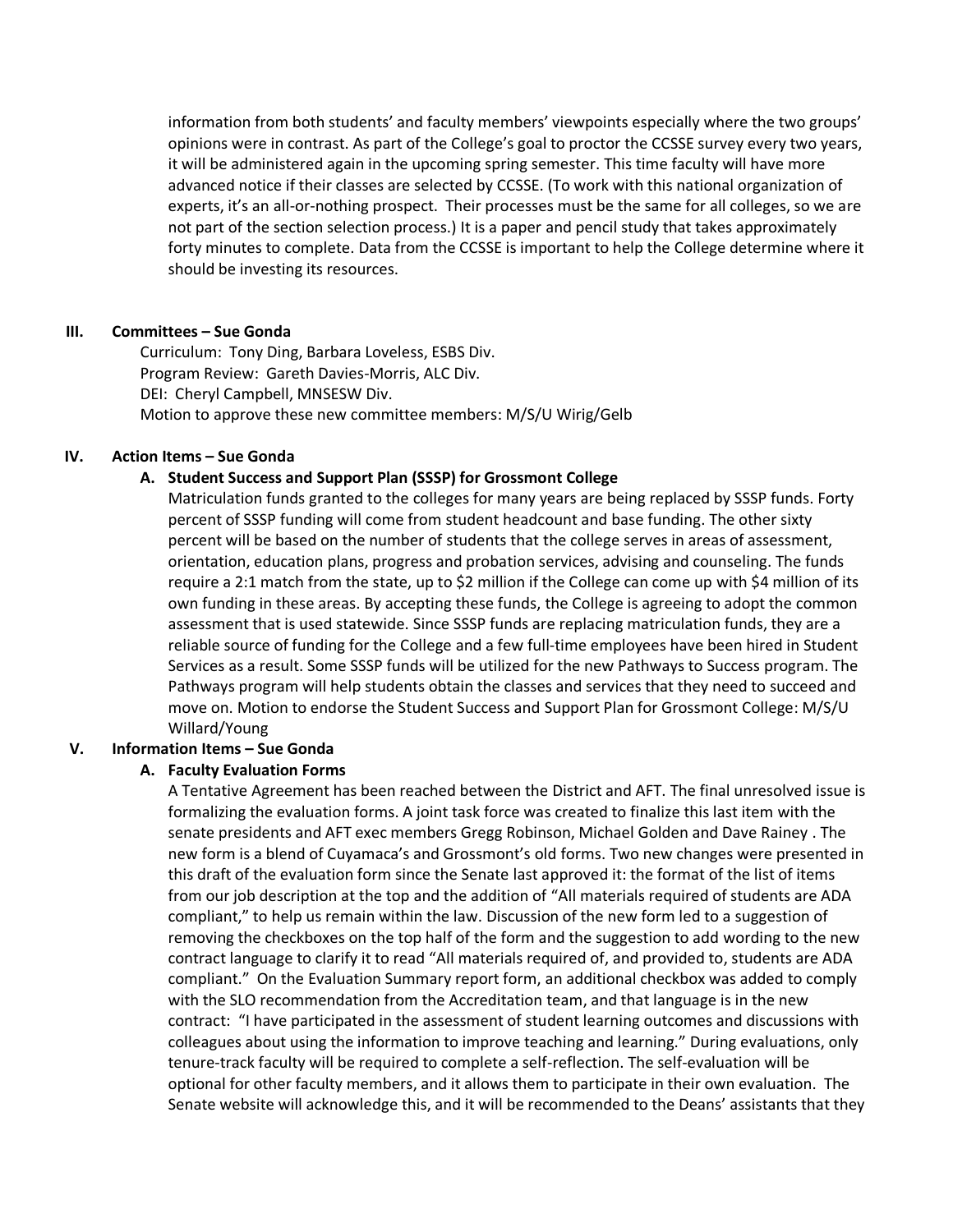information from both students' and faculty members' viewpoints especially where the two groups' opinions were in contrast. As part of the College's goal to proctor the CCSSE survey every two years, it will be administered again in the upcoming spring semester. This time faculty will have more advanced notice if their classes are selected by CCSSE. (To work with this national organization of experts, it's an all-or-nothing prospect. Their processes must be the same for all colleges, so we are not part of the section selection process.) It is a paper and pencil study that takes approximately forty minutes to complete. Data from the CCSSE is important to help the College determine where it should be investing its resources.

### **III. Committees – Sue Gonda**

Curriculum: Tony Ding, Barbara Loveless, ESBS Div. Program Review: Gareth Davies-Morris, ALC Div. DEI: Cheryl Campbell, MNSESW Div. Motion to approve these new committee members: M/S/U Wirig/Gelb

### **IV. Action Items – Sue Gonda**

### **A. Student Success and Support Plan (SSSP) for Grossmont College**

Matriculation funds granted to the colleges for many years are being replaced by SSSP funds. Forty percent of SSSP funding will come from student headcount and base funding. The other sixty percent will be based on the number of students that the college serves in areas of assessment, orientation, education plans, progress and probation services, advising and counseling. The funds require a 2:1 match from the state, up to \$2 million if the College can come up with \$4 million of its own funding in these areas. By accepting these funds, the College is agreeing to adopt the common assessment that is used statewide. Since SSSP funds are replacing matriculation funds, they are a reliable source of funding for the College and a few full-time employees have been hired in Student Services as a result. Some SSSP funds will be utilized for the new Pathways to Success program. The Pathways program will help students obtain the classes and services that they need to succeed and move on. Motion to endorse the Student Success and Support Plan for Grossmont College: M/S/U Willard/Young

## **V. Information Items – Sue Gonda**

#### **A. Faculty Evaluation Forms**

A Tentative Agreement has been reached between the District and AFT. The final unresolved issue is formalizing the evaluation forms. A joint task force was created to finalize this last item with the senate presidents and AFT exec members Gregg Robinson, Michael Golden and Dave Rainey . The new form is a blend of Cuyamaca's and Grossmont's old forms. Two new changes were presented in this draft of the evaluation form since the Senate last approved it: the format of the list of items from our job description at the top and the addition of "All materials required of students are ADA compliant," to help us remain within the law. Discussion of the new form led to a suggestion of removing the checkboxes on the top half of the form and the suggestion to add wording to the new contract language to clarify it to read "All materials required of, and provided to, students are ADA compliant." On the Evaluation Summary report form, an additional checkbox was added to comply with the SLO recommendation from the Accreditation team, and that language is in the new contract: "I have participated in the assessment of student learning outcomes and discussions with colleagues about using the information to improve teaching and learning." During evaluations, only tenure-track faculty will be required to complete a self-reflection. The self-evaluation will be optional for other faculty members, and it allows them to participate in their own evaluation. The Senate website will acknowledge this, and it will be recommended to the Deans' assistants that they